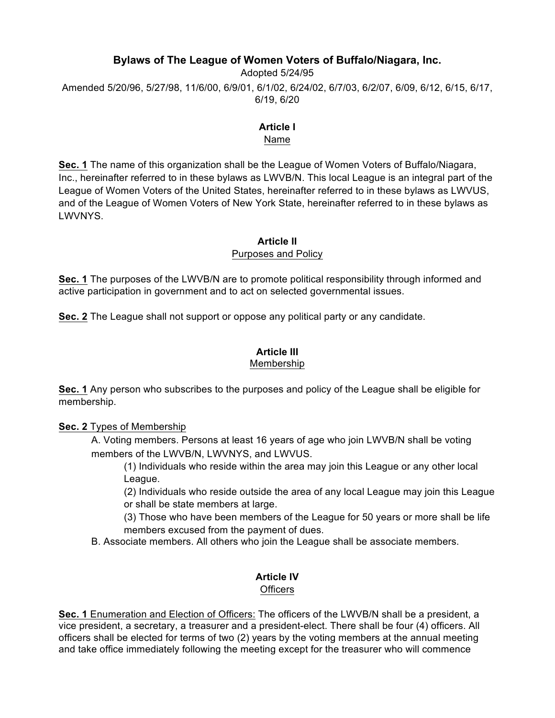## **Bylaws of The League of Women Voters of Buffalo/Niagara, Inc.**

Adopted 5/24/95 Amended 5/20/96, 5/27/98, 11/6/00, 6/9/01, 6/1/02, 6/24/02, 6/7/03, 6/2/07, 6/09, 6/12, 6/15, 6/17, 6/19, 6/20

#### **Article I** Name

**Sec. 1** The name of this organization shall be the League of Women Voters of Buffalo/Niagara, Inc., hereinafter referred to in these bylaws as LWVB/N. This local League is an integral part of the League of Women Voters of the United States, hereinafter referred to in these bylaws as LWVUS, and of the League of Women Voters of New York State, hereinafter referred to in these bylaws as LWVNYS.

#### **Article II**

#### Purposes and Policy

**Sec. 1** The purposes of the LWVB/N are to promote political responsibility through informed and active participation in government and to act on selected governmental issues.

**Sec. 2** The League shall not support or oppose any political party or any candidate.

#### **Article III** Membership

**Sec. 1** Any person who subscribes to the purposes and policy of the League shall be eligible for membership.

## **Sec. 2** Types of Membership

A. Voting members. Persons at least 16 years of age who join LWVB/N shall be voting members of the LWVB/N, LWVNYS, and LWVUS.

(1) Individuals who reside within the area may join this League or any other local League.

(2) Individuals who reside outside the area of any local League may join this League or shall be state members at large.

(3) Those who have been members of the League for 50 years or more shall be life members excused from the payment of dues.

B. Associate members. All others who join the League shall be associate members.

## **Article IV**

## **Officers**

**Sec. 1** Enumeration and Election of Officers: The officers of the LWVB/N shall be a president, a vice president, a secretary, a treasurer and a president-elect. There shall be four (4) officers. All officers shall be elected for terms of two (2) years by the voting members at the annual meeting and take office immediately following the meeting except for the treasurer who will commence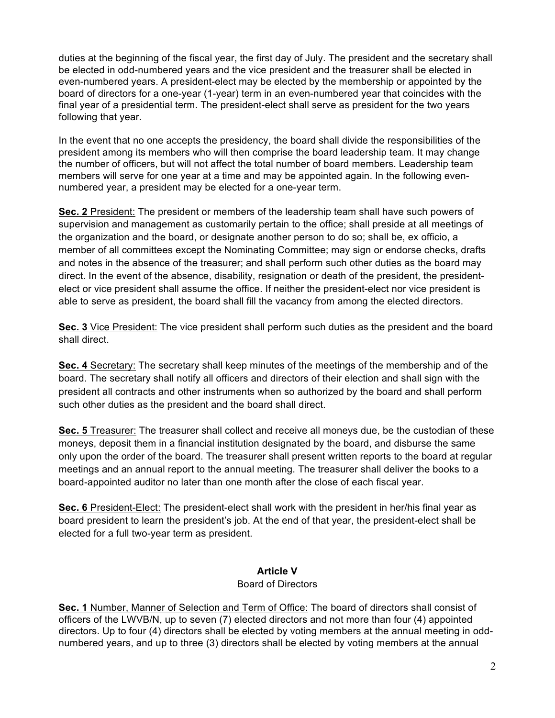duties at the beginning of the fiscal year, the first day of July. The president and the secretary shall be elected in odd-numbered years and the vice president and the treasurer shall be elected in even-numbered years. A president-elect may be elected by the membership or appointed by the board of directors for a one-year (1-year) term in an even-numbered year that coincides with the final year of a presidential term. The president-elect shall serve as president for the two years following that year.

In the event that no one accepts the presidency, the board shall divide the responsibilities of the president among its members who will then comprise the board leadership team. It may change the number of officers, but will not affect the total number of board members. Leadership team members will serve for one year at a time and may be appointed again. In the following evennumbered year, a president may be elected for a one-year term.

**Sec. 2** President: The president or members of the leadership team shall have such powers of supervision and management as customarily pertain to the office; shall preside at all meetings of the organization and the board, or designate another person to do so; shall be, ex officio, a member of all committees except the Nominating Committee; may sign or endorse checks, drafts and notes in the absence of the treasurer; and shall perform such other duties as the board may direct. In the event of the absence, disability, resignation or death of the president, the presidentelect or vice president shall assume the office. If neither the president-elect nor vice president is able to serve as president, the board shall fill the vacancy from among the elected directors.

**Sec. 3** Vice President: The vice president shall perform such duties as the president and the board shall direct.

**Sec. 4** Secretary: The secretary shall keep minutes of the meetings of the membership and of the board. The secretary shall notify all officers and directors of their election and shall sign with the president all contracts and other instruments when so authorized by the board and shall perform such other duties as the president and the board shall direct.

**Sec. 5** Treasurer: The treasurer shall collect and receive all moneys due, be the custodian of these moneys, deposit them in a financial institution designated by the board, and disburse the same only upon the order of the board. The treasurer shall present written reports to the board at regular meetings and an annual report to the annual meeting. The treasurer shall deliver the books to a board-appointed auditor no later than one month after the close of each fiscal year.

**Sec. 6** President-Elect: The president-elect shall work with the president in her/his final year as board president to learn the president's job. At the end of that year, the president-elect shall be elected for a full two-year term as president.

# **Article V**

## Board of Directors

**Sec. 1** Number, Manner of Selection and Term of Office: The board of directors shall consist of officers of the LWVB/N, up to seven (7) elected directors and not more than four (4) appointed directors. Up to four (4) directors shall be elected by voting members at the annual meeting in oddnumbered years, and up to three (3) directors shall be elected by voting members at the annual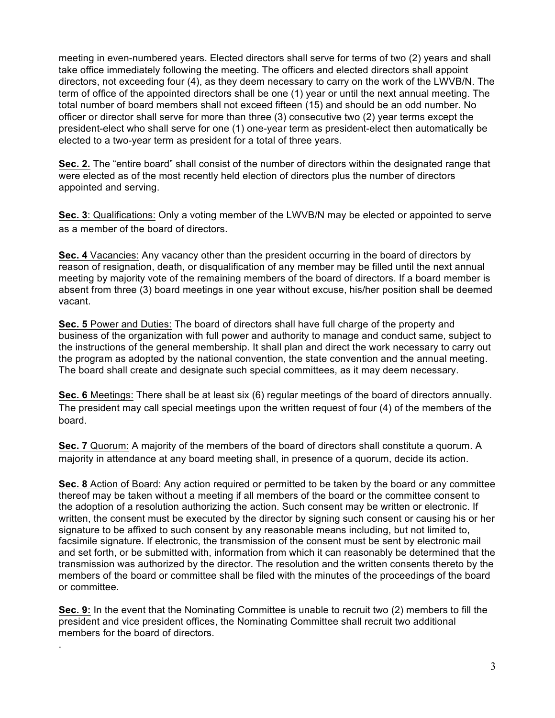meeting in even-numbered years. Elected directors shall serve for terms of two (2) years and shall take office immediately following the meeting. The officers and elected directors shall appoint directors, not exceeding four (4), as they deem necessary to carry on the work of the LWVB/N. The term of office of the appointed directors shall be one (1) year or until the next annual meeting. The total number of board members shall not exceed fifteen (15) and should be an odd number. No officer or director shall serve for more than three (3) consecutive two (2) year terms except the president-elect who shall serve for one (1) one-year term as president-elect then automatically be elected to a two-year term as president for a total of three years.

**Sec. 2.** The "entire board" shall consist of the number of directors within the designated range that were elected as of the most recently held election of directors plus the number of directors appointed and serving.

**Sec. 3**: Qualifications: Only a voting member of the LWVB/N may be elected or appointed to serve as a member of the board of directors.

**Sec. 4** Vacancies: Any vacancy other than the president occurring in the board of directors by reason of resignation, death, or disqualification of any member may be filled until the next annual meeting by majority vote of the remaining members of the board of directors. If a board member is absent from three (3) board meetings in one year without excuse, his/her position shall be deemed vacant.

**Sec. 5** Power and Duties: The board of directors shall have full charge of the property and business of the organization with full power and authority to manage and conduct same, subject to the instructions of the general membership. It shall plan and direct the work necessary to carry out the program as adopted by the national convention, the state convention and the annual meeting. The board shall create and designate such special committees, as it may deem necessary.

**Sec. 6** Meetings: There shall be at least six (6) regular meetings of the board of directors annually. The president may call special meetings upon the written request of four (4) of the members of the board.

**Sec. 7** Quorum: A majority of the members of the board of directors shall constitute a quorum. A majority in attendance at any board meeting shall, in presence of a quorum, decide its action.

**Sec. 8** Action of Board: Any action required or permitted to be taken by the board or any committee thereof may be taken without a meeting if all members of the board or the committee consent to the adoption of a resolution authorizing the action. Such consent may be written or electronic. If written, the consent must be executed by the director by signing such consent or causing his or her signature to be affixed to such consent by any reasonable means including, but not limited to, facsimile signature. If electronic, the transmission of the consent must be sent by electronic mail and set forth, or be submitted with, information from which it can reasonably be determined that the transmission was authorized by the director. The resolution and the written consents thereto by the members of the board or committee shall be filed with the minutes of the proceedings of the board or committee.

**Sec. 9:** In the event that the Nominating Committee is unable to recruit two (2) members to fill the president and vice president offices, the Nominating Committee shall recruit two additional members for the board of directors.

.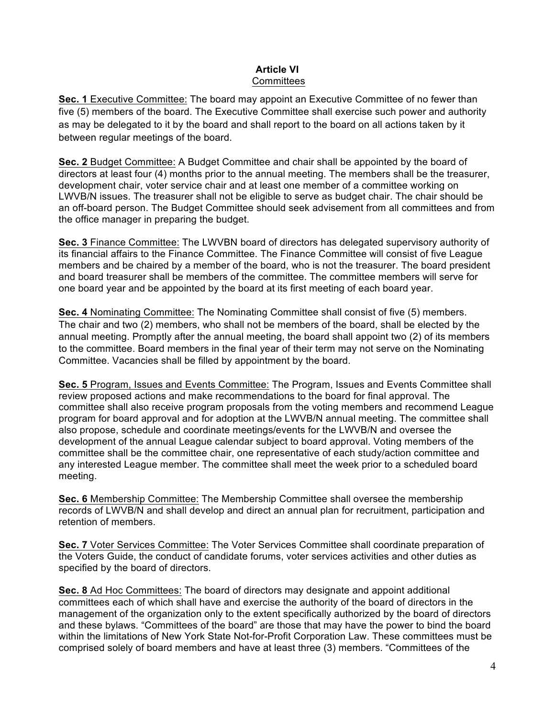## **Article VI Committees**

**Sec. 1** Executive Committee: The board may appoint an Executive Committee of no fewer than five (5) members of the board. The Executive Committee shall exercise such power and authority as may be delegated to it by the board and shall report to the board on all actions taken by it between regular meetings of the board.

**Sec. 2** Budget Committee: A Budget Committee and chair shall be appointed by the board of directors at least four (4) months prior to the annual meeting. The members shall be the treasurer, development chair, voter service chair and at least one member of a committee working on LWVB/N issues. The treasurer shall not be eligible to serve as budget chair. The chair should be an off-board person. The Budget Committee should seek advisement from all committees and from the office manager in preparing the budget.

**Sec. 3** Finance Committee: The LWVBN board of directors has delegated supervisory authority of its financial affairs to the Finance Committee. The Finance Committee will consist of five League members and be chaired by a member of the board, who is not the treasurer. The board president and board treasurer shall be members of the committee. The committee members will serve for one board year and be appointed by the board at its first meeting of each board year.

**Sec. 4** Nominating Committee: The Nominating Committee shall consist of five (5) members. The chair and two (2) members, who shall not be members of the board, shall be elected by the annual meeting. Promptly after the annual meeting, the board shall appoint two (2) of its members to the committee. Board members in the final year of their term may not serve on the Nominating Committee. Vacancies shall be filled by appointment by the board.

**Sec. 5** Program, Issues and Events Committee: The Program, Issues and Events Committee shall review proposed actions and make recommendations to the board for final approval. The committee shall also receive program proposals from the voting members and recommend League program for board approval and for adoption at the LWVB/N annual meeting. The committee shall also propose, schedule and coordinate meetings/events for the LWVB/N and oversee the development of the annual League calendar subject to board approval. Voting members of the committee shall be the committee chair, one representative of each study/action committee and any interested League member. The committee shall meet the week prior to a scheduled board meeting.

**Sec. 6** Membership Committee: The Membership Committee shall oversee the membership records of LWVB/N and shall develop and direct an annual plan for recruitment, participation and retention of members.

**Sec. 7** Voter Services Committee: The Voter Services Committee shall coordinate preparation of the Voters Guide, the conduct of candidate forums, voter services activities and other duties as specified by the board of directors.

**Sec. 8** Ad Hoc Committees: The board of directors may designate and appoint additional committees each of which shall have and exercise the authority of the board of directors in the management of the organization only to the extent specifically authorized by the board of directors and these bylaws. "Committees of the board" are those that may have the power to bind the board within the limitations of New York State Not-for-Profit Corporation Law. These committees must be comprised solely of board members and have at least three (3) members. "Committees of the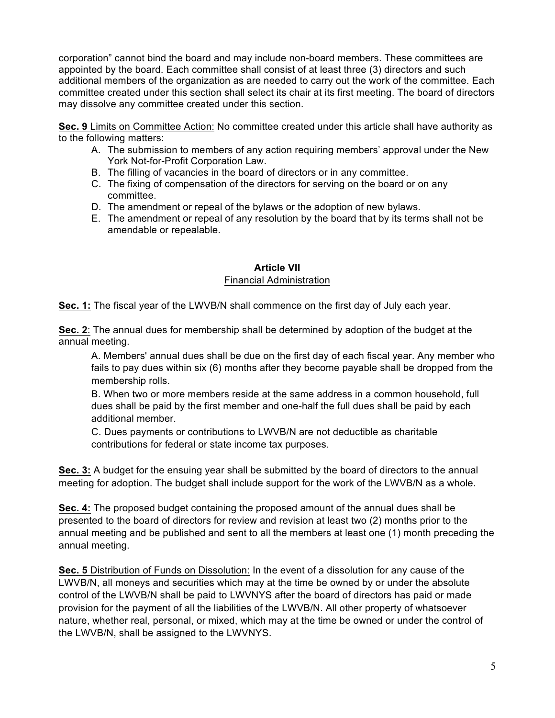corporation" cannot bind the board and may include non-board members. These committees are appointed by the board. Each committee shall consist of at least three (3) directors and such additional members of the organization as are needed to carry out the work of the committee. Each committee created under this section shall select its chair at its first meeting. The board of directors may dissolve any committee created under this section.

**Sec. 9** Limits on Committee Action: No committee created under this article shall have authority as to the following matters:

- A. The submission to members of any action requiring members' approval under the New York Not-for-Profit Corporation Law.
- B. The filling of vacancies in the board of directors or in any committee.
- C. The fixing of compensation of the directors for serving on the board or on any committee.
- D. The amendment or repeal of the bylaws or the adoption of new bylaws.
- E. The amendment or repeal of any resolution by the board that by its terms shall not be amendable or repealable.

#### **Article VII** Financial Administration

**Sec. 1:** The fiscal year of the LWVB/N shall commence on the first day of July each year.

**Sec. 2**: The annual dues for membership shall be determined by adoption of the budget at the annual meeting.

A. Members' annual dues shall be due on the first day of each fiscal year. Any member who fails to pay dues within six (6) months after they become payable shall be dropped from the membership rolls.

B. When two or more members reside at the same address in a common household, full dues shall be paid by the first member and one-half the full dues shall be paid by each additional member.

C. Dues payments or contributions to LWVB/N are not deductible as charitable contributions for federal or state income tax purposes.

**Sec. 3:** A budget for the ensuing year shall be submitted by the board of directors to the annual meeting for adoption. The budget shall include support for the work of the LWVB/N as a whole.

**Sec. 4:** The proposed budget containing the proposed amount of the annual dues shall be presented to the board of directors for review and revision at least two (2) months prior to the annual meeting and be published and sent to all the members at least one (1) month preceding the annual meeting.

**Sec. 5** Distribution of Funds on Dissolution: In the event of a dissolution for any cause of the LWVB/N, all moneys and securities which may at the time be owned by or under the absolute control of the LWVB/N shall be paid to LWVNYS after the board of directors has paid or made provision for the payment of all the liabilities of the LWVB/N. All other property of whatsoever nature, whether real, personal, or mixed, which may at the time be owned or under the control of the LWVB/N, shall be assigned to the LWVNYS.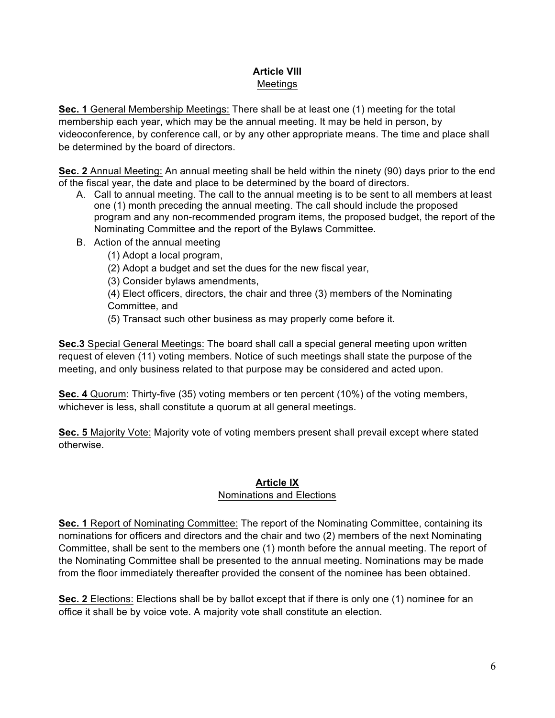## **Article VIII** Meetings

**Sec. 1** General Membership Meetings: There shall be at least one (1) meeting for the total membership each year, which may be the annual meeting. It may be held in person, by videoconference, by conference call, or by any other appropriate means. The time and place shall be determined by the board of directors.

**Sec. 2** Annual Meeting: An annual meeting shall be held within the ninety (90) days prior to the end of the fiscal year, the date and place to be determined by the board of directors.

- A. Call to annual meeting. The call to the annual meeting is to be sent to all members at least one (1) month preceding the annual meeting. The call should include the proposed program and any non-recommended program items, the proposed budget, the report of the Nominating Committee and the report of the Bylaws Committee.
- B. Action of the annual meeting
	- (1) Adopt a local program,
	- (2) Adopt a budget and set the dues for the new fiscal year,

(3) Consider bylaws amendments,

(4) Elect officers, directors, the chair and three (3) members of the Nominating Committee, and

(5) Transact such other business as may properly come before it.

**Sec.3** Special General Meetings: The board shall call a special general meeting upon written request of eleven (11) voting members. Notice of such meetings shall state the purpose of the meeting, and only business related to that purpose may be considered and acted upon.

**Sec. 4** Quorum: Thirty-five (35) voting members or ten percent (10%) of the voting members, whichever is less, shall constitute a quorum at all general meetings.

**Sec. 5** Majority Vote: Majority vote of voting members present shall prevail except where stated otherwise.

## **Article IX**

## Nominations and Elections

**Sec. 1** Report of Nominating Committee: The report of the Nominating Committee, containing its nominations for officers and directors and the chair and two (2) members of the next Nominating Committee, shall be sent to the members one (1) month before the annual meeting. The report of the Nominating Committee shall be presented to the annual meeting. Nominations may be made from the floor immediately thereafter provided the consent of the nominee has been obtained.

**Sec. 2** Elections: Elections shall be by ballot except that if there is only one (1) nominee for an office it shall be by voice vote. A majority vote shall constitute an election.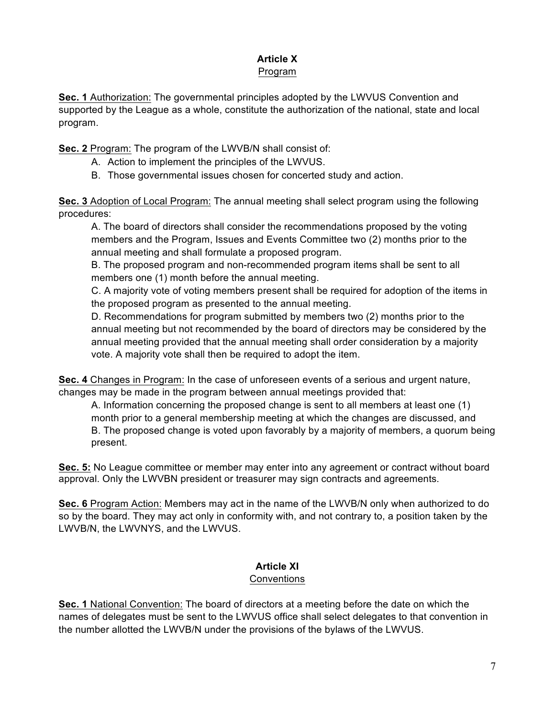## **Article X**

## Program

**Sec. 1** Authorization: The governmental principles adopted by the LWVUS Convention and supported by the League as a whole, constitute the authorization of the national, state and local program.

**Sec. 2** Program: The program of the LWVB/N shall consist of:

- A. Action to implement the principles of the LWVUS.
- B. Those governmental issues chosen for concerted study and action.

**Sec. 3** Adoption of Local Program: The annual meeting shall select program using the following procedures:

A. The board of directors shall consider the recommendations proposed by the voting members and the Program, Issues and Events Committee two (2) months prior to the annual meeting and shall formulate a proposed program.

B. The proposed program and non-recommended program items shall be sent to all members one (1) month before the annual meeting.

C. A majority vote of voting members present shall be required for adoption of the items in the proposed program as presented to the annual meeting.

D. Recommendations for program submitted by members two (2) months prior to the annual meeting but not recommended by the board of directors may be considered by the annual meeting provided that the annual meeting shall order consideration by a majority vote. A majority vote shall then be required to adopt the item.

**Sec. 4** Changes in Program: In the case of unforeseen events of a serious and urgent nature, changes may be made in the program between annual meetings provided that:

A. Information concerning the proposed change is sent to all members at least one (1) month prior to a general membership meeting at which the changes are discussed, and B. The proposed change is voted upon favorably by a majority of members, a quorum being present.

**Sec. 5:** No League committee or member may enter into any agreement or contract without board approval. Only the LWVBN president or treasurer may sign contracts and agreements.

**Sec. 6** Program Action: Members may act in the name of the LWVB/N only when authorized to do so by the board. They may act only in conformity with, and not contrary to, a position taken by the LWVB/N, the LWVNYS, and the LWVUS.

#### **Article XI Conventions**

**Sec. 1** National Convention: The board of directors at a meeting before the date on which the names of delegates must be sent to the LWVUS office shall select delegates to that convention in the number allotted the LWVB/N under the provisions of the bylaws of the LWVUS.